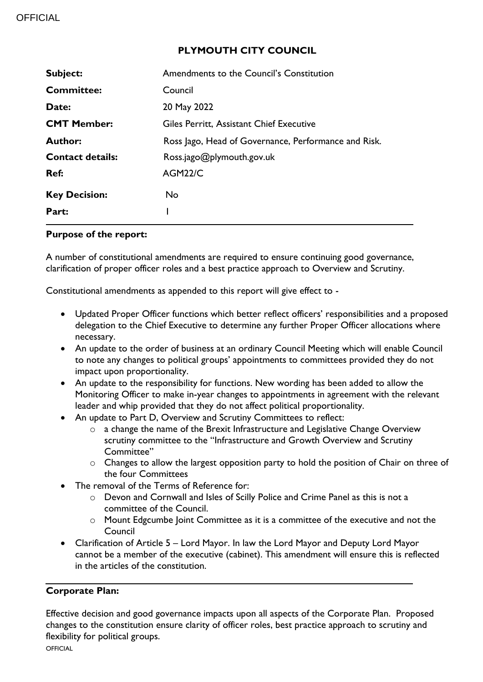### **PLYMOUTH CITY COUNCIL**

| <b>Subject:</b>         | Amendments to the Council's Constitution             |  |
|-------------------------|------------------------------------------------------|--|
| <b>Committee:</b>       | Council                                              |  |
| Date:                   | 20 May 2022                                          |  |
| <b>CMT Member:</b>      | Giles Perritt, Assistant Chief Executive             |  |
| <b>Author:</b>          | Ross Jago, Head of Governance, Performance and Risk. |  |
| <b>Contact details:</b> | Ross.jago@plymouth.gov.uk                            |  |
| Ref:                    | <b>AGM22/C</b>                                       |  |
| <b>Key Decision:</b>    | No.                                                  |  |
| Part:                   |                                                      |  |

#### **Purpose of the report:**

A number of constitutional amendments are required to ensure continuing good governance, clarification of proper officer roles and a best practice approach to Overview and Scrutiny.

Constitutional amendments as appended to this report will give effect to -

- Updated Proper Officer functions which better reflect officers' responsibilities and a proposed delegation to the Chief Executive to determine any further Proper Officer allocations where necessary.
- An update to the order of business at an ordinary Council Meeting which will enable Council to note any changes to political groups' appointments to committees provided they do not impact upon proportionality.
- An update to the responsibility for functions. New wording has been added to allow the Monitoring Officer to make in-year changes to appointments in agreement with the relevant leader and whip provided that they do not affect political proportionality.
- An update to Part D, Overview and Scrutiny Committees to reflect:
	- o a change the name of the Brexit Infrastructure and Legislative Change Overview scrutiny committee to the "Infrastructure and Growth Overview and Scrutiny Committee"
	- o Changes to allow the largest opposition party to hold the position of Chair on three of the four Committees
- The removal of the Terms of Reference for:
	- o Devon and Cornwall and Isles of Scilly Police and Crime Panel as this is not a committee of the Council.
	- o Mount Edgcumbe Joint Committee as it is a committee of the executive and not the Council
- Clarification of Article 5 Lord Mayor. In law the Lord Mayor and Deputy Lord Mayor cannot be a member of the executive (cabinet). This amendment will ensure this is reflected in the articles of the constitution.

### **Corporate Plan:**

Effective decision and good governance impacts upon all aspects of the Corporate Plan. Proposed changes to the constitution ensure clarity of officer roles, best practice approach to scrutiny and flexibility for political groups.

**OFFICIAL**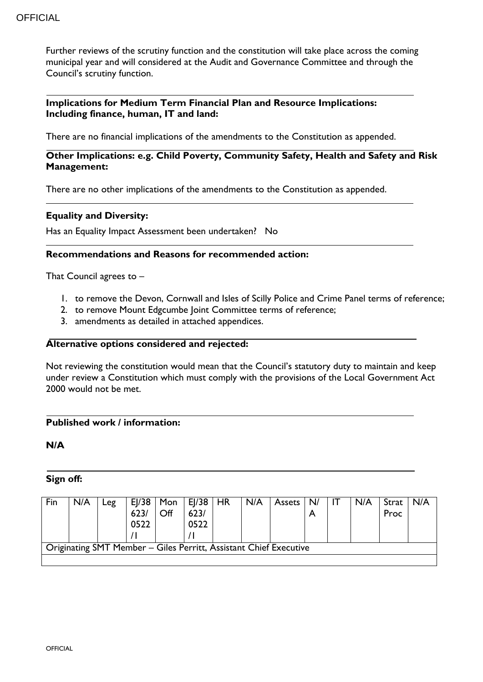#### **OFFICIAL**

Further reviews of the scrutiny function and the constitution will take place across the coming municipal year and will considered at the Audit and Governance Committee and through the Council's scrutiny function.

#### **Implications for Medium Term Financial Plan and Resource Implications: Including finance, human, IT and land:**

There are no financial implications of the amendments to the Constitution as appended.

### **Other Implications: e.g. Child Poverty, Community Safety, Health and Safety and Risk Management:**

There are no other implications of the amendments to the Constitution as appended.

#### **Equality and Diversity:**

Has an Equality Impact Assessment been undertaken? No

#### **Recommendations and Reasons for recommended action:**

That Council agrees to –

- 1. to remove the Devon, Cornwall and Isles of Scilly Police and Crime Panel terms of reference;
- 2. to remove Mount Edgcumbe Joint Committee terms of reference;
- 3. amendments as detailed in attached appendices.

#### **Alternative options considered and rejected:**

Not reviewing the constitution would mean that the Council's statutory duty to maintain and keep under review a Constitution which must comply with the provisions of the Local Government Act 2000 would not be met.

#### **Published work / information:**

**N/A**

#### **Sign off:**

| Fin | N/A | -eg | E /38 <br>0522 | $\overline{Off}$ | Mon $ E /38$   HR<br>623/<br>0522 | N/A | <b>Assets</b>                                                     | N/ | N/A | Strat<br>Proc | N/A |
|-----|-----|-----|----------------|------------------|-----------------------------------|-----|-------------------------------------------------------------------|----|-----|---------------|-----|
|     |     |     |                |                  |                                   |     | Originating SMT Member - Giles Perritt, Assistant Chief Executive |    |     |               |     |
|     |     |     |                |                  |                                   |     |                                                                   |    |     |               |     |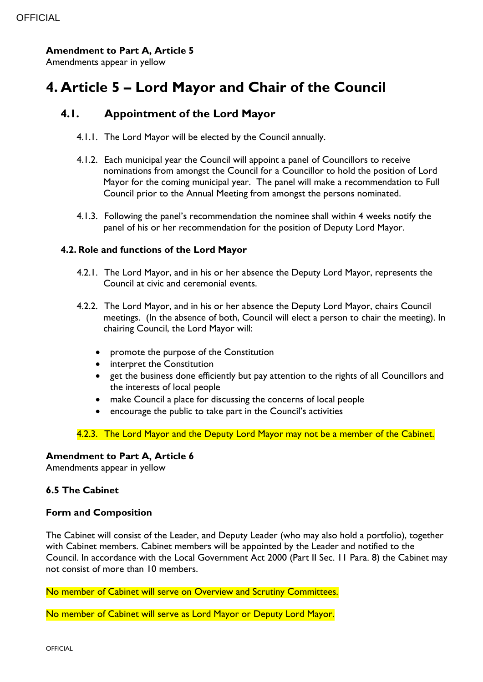### **Amendment to Part A, Article 5**

Amendments appear in yellow

# **4. Article 5 – Lord Mayor and Chair of the Council**

# **4.1. Appointment of the Lord Mayor**

- 4.1.1. The Lord Mayor will be elected by the Council annually.
- 4.1.2. Each municipal year the Council will appoint a panel of Councillors to receive nominations from amongst the Council for a Councillor to hold the position of Lord Mayor for the coming municipal year. The panel will make a recommendation to Full Council prior to the Annual Meeting from amongst the persons nominated.
- 4.1.3. Following the panel's recommendation the nominee shall within 4 weeks notify the panel of his or her recommendation for the position of Deputy Lord Mayor.

### **4.2.Role and functions of the Lord Mayor**

- 4.2.1. The Lord Mayor, and in his or her absence the Deputy Lord Mayor, represents the Council at civic and ceremonial events.
- 4.2.2. The Lord Mayor, and in his or her absence the Deputy Lord Mayor, chairs Council meetings. (In the absence of both, Council will elect a person to chair the meeting). In chairing Council, the Lord Mayor will:
	- promote the purpose of the Constitution
	- interpret the Constitution
	- get the business done efficiently but pay attention to the rights of all Councillors and the interests of local people
	- make Council a place for discussing the concerns of local people
	- encourage the public to take part in the Council's activities

4.2.3. The Lord Mayor and the Deputy Lord Mayor may not be a member of the Cabinet.

### **Amendment to Part A, Article 6**

Amendments appear in yellow

### **6.5 The Cabinet**

#### **Form and Composition**

The Cabinet will consist of the Leader, and Deputy Leader (who may also hold a portfolio), together with Cabinet members. Cabinet members will be appointed by the Leader and notified to the Council. In accordance with the Local Government Act 2000 (Part II Sec. 11 Para. 8) the Cabinet may not consist of more than 10 members.

No member of Cabinet will serve on Overview and Scrutiny Committees.

No member of Cabinet will serve as Lord Mayor or Deputy Lord Mayor.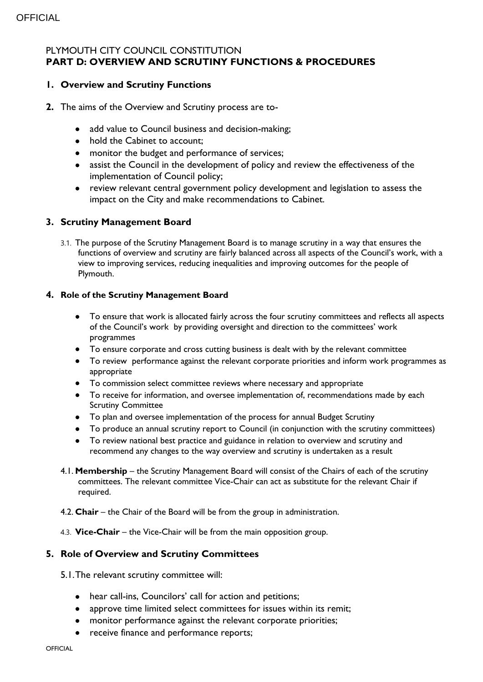### PLYMOUTH CITY COUNCIL CONSTITUTION **PART D: OVERVIEW AND SCRUTINY FUNCTIONS & PROCEDURES**

### **1. Overview and Scrutiny Functions**

- **2.** The aims of the Overview and Scrutiny process are to-
	- add value to Council business and decision-making;
	- hold the Cabinet to account;
	- monitor the budget and performance of services;
	- assist the Council in the development of policy and review the effectiveness of the implementation of Council policy;
	- review relevant central government policy development and legislation to assess the impact on the City and make recommendations to Cabinet.

#### **3. Scrutiny Management Board**

3.1. The purpose of the Scrutiny Management Board is to manage scrutiny in a way that ensures the functions of overview and scrutiny are fairly balanced across all aspects of the Council's work, with a view to improving services, reducing inequalities and improving outcomes for the people of Plymouth.

#### **4. Role of the Scrutiny Management Board**

- To ensure that work is allocated fairly across the four scrutiny committees and reflects all aspects of the Council's work by providing oversight and direction to the committees' work programmes
- To ensure corporate and cross cutting business is dealt with by the relevant committee
- To review performance against the relevant corporate priorities and inform work programmes as appropriate
- To commission select committee reviews where necessary and appropriate
- To receive for information, and oversee implementation of, recommendations made by each Scrutiny Committee
- To plan and oversee implementation of the process for annual Budget Scrutiny
- To produce an annual scrutiny report to Council (in conjunction with the scrutiny committees)
- To review national best practice and guidance in relation to overview and scrutiny and recommend any changes to the way overview and scrutiny is undertaken as a result
- 4.1. **Membership**  the Scrutiny Management Board will consist of the Chairs of each of the scrutiny committees. The relevant committee Vice-Chair can act as substitute for the relevant Chair if required.
- 4.2. **Chair** the Chair of the Board will be from the group in administration.
- 4.3. **Vice-Chair** the Vice-Chair will be from the main opposition group.

#### **5. Role of Overview and Scrutiny Committees**

- 5.1.The relevant scrutiny committee will:
	- hear call-ins, Councilors' call for action and petitions;
	- approve time limited select committees for issues within its remit;
	- monitor performance against the relevant corporate priorities;
	- receive finance and performance reports;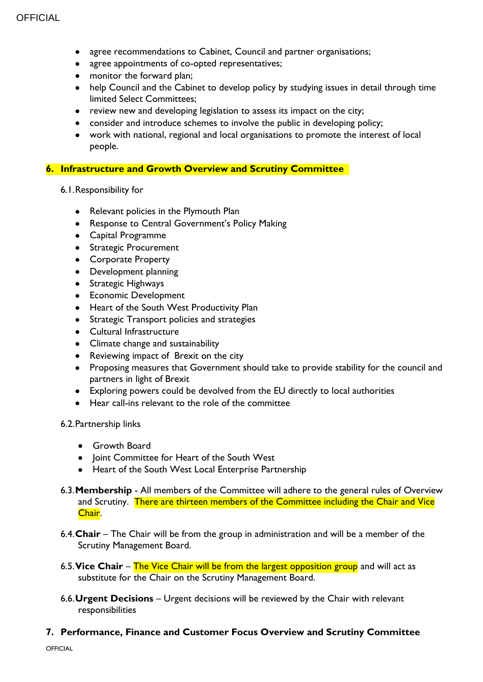- agree recommendations to Cabinet, Council and partner organisations;
- agree appointments of co-opted representatives;
- monitor the forward plan;
- help Council and the Cabinet to develop policy by studying issues in detail through time limited Select Committees;
- review new and developing legislation to assess its impact on the city;
- consider and introduce schemes to involve the public in developing policy;
- work with national, regional and local organisations to promote the interest of local people.

#### **6. Infrastructure and Growth Overview and Scrutiny Committee**

- 6.1.Responsibility for
	- Relevant policies in the Plymouth Plan
	- **Response to Central Government's Policy Making**
	- Capital Programme
	- **•** Strategic Procurement
	- Corporate Property
	- Development planning
	- **•** Strategic Highways
	- **•** Economic Development
	- Heart of the South West Productivity Plan
	- Strategic Transport policies and strategies
	- Cultural Infrastructure
	- Climate change and sustainability
	- Reviewing impact of Brexit on the city
	- Proposing measures that Government should take to provide stability for the council and partners in light of Brexit
	- Exploring powers could be devolved from the EU directly to local authorities
	- Hear call-ins relevant to the role of the committee

#### 6.2.Partnership links

- Growth Board
- Joint Committee for Heart of the South West
- Heart of the South West Local Enterprise Partnership
- 6.3.**Membership** All members of the Committee will adhere to the general rules of Overview and Scrutiny. There are thirteen members of the Committee including the Chair and Vice Chair.
- 6.4.**Chair** The Chair will be from the group in administration and will be a member of the Scrutiny Management Board.
- 6.5.**Vice Chair** The Vice Chair will be from the largest opposition group and will act as substitute for the Chair on the Scrutiny Management Board.
- 6.6.**Urgent Decisions** Urgent decisions will be reviewed by the Chair with relevant responsibilities

### **7. Performance, Finance and Customer Focus Overview and Scrutiny Committee**

**OFFICIAL**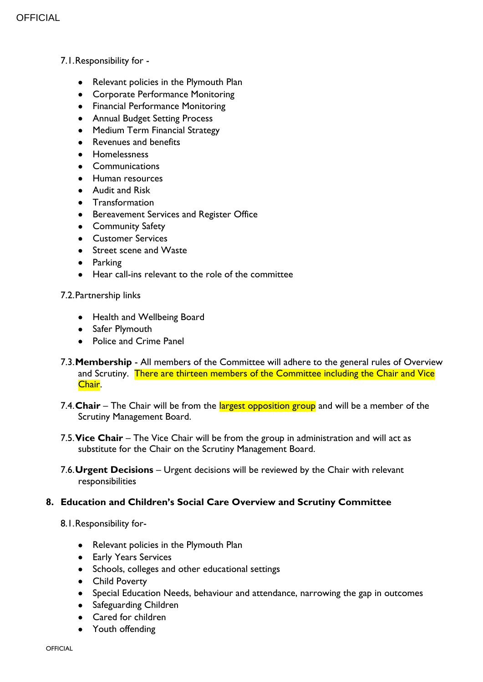- 7.1.Responsibility for
	- Relevant policies in the Plymouth Plan
	- Corporate Performance Monitoring
	- Financial Performance Monitoring
	- Annual Budget Setting Process
	- Medium Term Financial Strategy
	- Revenues and benefits
	- **•** Homelessness
	- Communications
	- **•** Human resources
	- Audit and Risk
	- Transformation
	- **•** Bereavement Services and Register Office
	- **•** Community Safety
	- Customer Services
	- Street scene and Waste
	- **•** Parking
	- Hear call-ins relevant to the role of the committee

#### 7.2.Partnership links

- Health and Wellbeing Board
- Safer Plymouth
- Police and Crime Panel
- 7.3.**Membership** All members of the Committee will adhere to the general rules of Overview and Scrutiny. There are thirteen members of the Committee including the Chair and Vice Chair.
- 7.4. Chair The Chair will be from the largest opposition group and will be a member of the Scrutiny Management Board.
- 7.5.**Vice Chair** The Vice Chair will be from the group in administration and will act as substitute for the Chair on the Scrutiny Management Board.
- 7.6.**Urgent Decisions** Urgent decisions will be reviewed by the Chair with relevant responsibilities

#### **8. Education and Children's Social Care Overview and Scrutiny Committee**

- 8.1.Responsibility for-
	- Relevant policies in the Plymouth Plan
	- **•** Early Years Services
	- Schools, colleges and other educational settings
	- Child Poverty
	- Special Education Needs, behaviour and attendance, narrowing the gap in outcomes
	- Safeguarding Children
	- Cared for children
	- Youth offending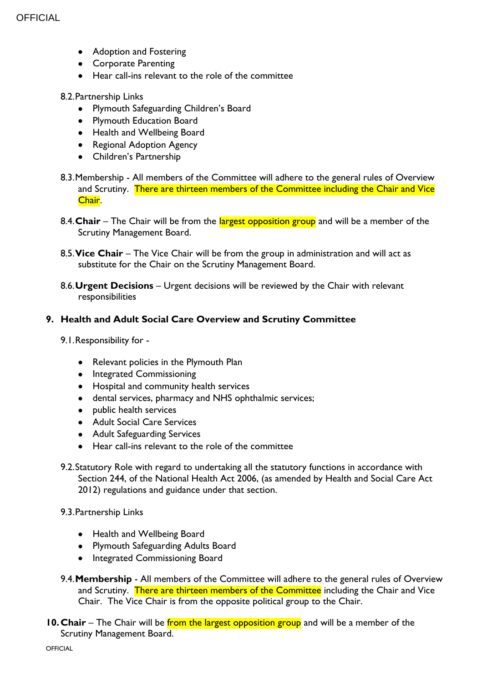- Adoption and Fostering
- **•** Corporate Parenting
- Hear call-ins relevant to the role of the committee

#### 8.2.Partnership Links

- Plymouth Safeguarding Children's Board
- Plymouth Education Board
- Health and Wellbeing Board
- Regional Adoption Agency
- Children's Partnership
- 8.3.Membership All members of the Committee will adhere to the general rules of Overview and Scrutiny. There are thirteen members of the Committee including the Chair and Vice Chair.
- 8.4. Chair The Chair will be from the largest opposition group and will be a member of the Scrutiny Management Board.
- 8.5.**Vice Chair** The Vice Chair will be from the group in administration and will act as substitute for the Chair on the Scrutiny Management Board.
- 8.6.**Urgent Decisions** Urgent decisions will be reviewed by the Chair with relevant responsibilities

#### **9. Health and Adult Social Care Overview and Scrutiny Committee**

- 9.1.Responsibility for
	- Relevant policies in the Plymouth Plan
	- **•** Integrated Commissioning
	- Hospital and community health services
	- dental services, pharmacy and NHS ophthalmic services;
	- public health services
	- Adult Social Care Services
	- Adult Safeguarding Services
	- Hear call-ins relevant to the role of the committee
- 9.2.Statutory Role with regard to undertaking all the statutory functions in accordance with Section 244, of the National Health Act 2006, (as amended by Health and Social Care Act 2012) regulations and guidance under that section.
- 9.3.Partnership Links
	- Health and Wellbeing Board
	- Plymouth Safeguarding Adults Board
	- Integrated Commissioning Board
- 9.4.**Membership** All members of the Committee will adhere to the general rules of Overview and Scrutiny. There are thirteen members of the Committee including the Chair and Vice Chair. The Vice Chair is from the opposite political group to the Chair.
- **10. Chair** The Chair will be from the largest opposition group and will be a member of the Scrutiny Management Board.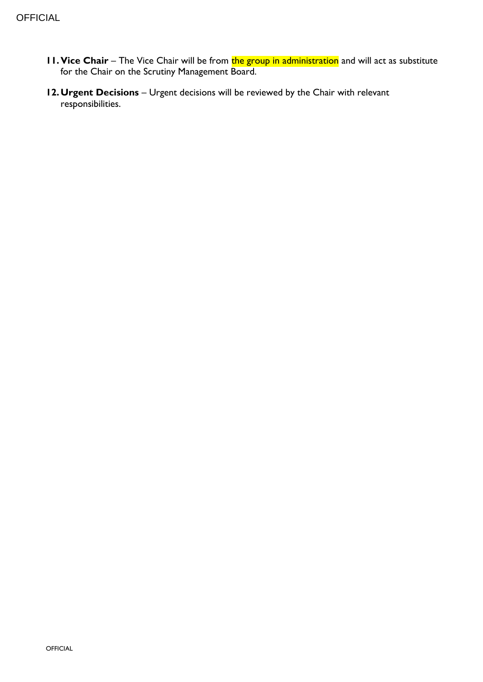- **11. Vice Chair** The Vice Chair will be from the group in administration and will act as substitute for the Chair on the Scrutiny Management Board.
- **12.Urgent Decisions** Urgent decisions will be reviewed by the Chair with relevant responsibilities.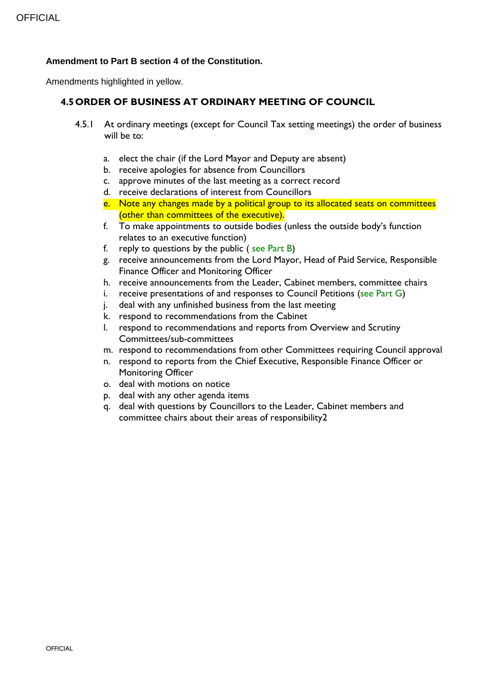#### **Amendment to Part B section 4 of the Constitution.**

Amendments highlighted in yellow.

### **4.5ORDER OF BUSINESS AT ORDINARY MEETING OF COUNCIL**

- 4.5.1 At ordinary meetings (except for Council Tax setting meetings) the order of business will be to:
	- a. elect the chair (if the Lord Mayor and Deputy are absent)
	- b. receive apologies for absence from Councillors
	- c. approve minutes of the last meeting as a correct record
	- d. receive declarations of interest from Councillors
	- e. Note any changes made by a political group to its allocated seats on committees (other than committees of the executive).
	- f. To make appointments to outside bodies (unless the outside body's function relates to an executive function)
	- f. reply to [questions by the public](bookmark://questionsbypublic/) ( [see Part B\)](bookmark://_PART_B:_RESPONSIBILITY/)
	- g. receive announcements from the Lord Mayor, Head of Paid Service, Responsible Finance Officer and Monitoring Officer
	- h. receive announcements from the Leader, Cabinet members, committee chairs
	- i. receive presentations of and responses to [Council Petitions](bookmark://Petitions_guidance/) [\(see Part G\)](bookmark://_PETITIONS_-_GUIDANCE/)
	- j. deal with any unfinished business from the last meeting
	- k. respond to recommendations from the Cabinet
	- l. respond to recommendations and reports from Overview and Scrutiny Committees/sub-committees
	- m. respond to recommendations from other Committees requiring Council approval
	- n. respond to reports from the Chief Executive, Responsible Finance Officer or Monitoring Officer
	- o. deal with [motions on notice](bookmark://APPENDIXONE/)
	- p. deal with any other agenda items
	- q. deal with [questions by Councillors](bookmark://Questions_by_councillors/) to the Leader, Cabinet members and committee chairs about their areas of responsibility2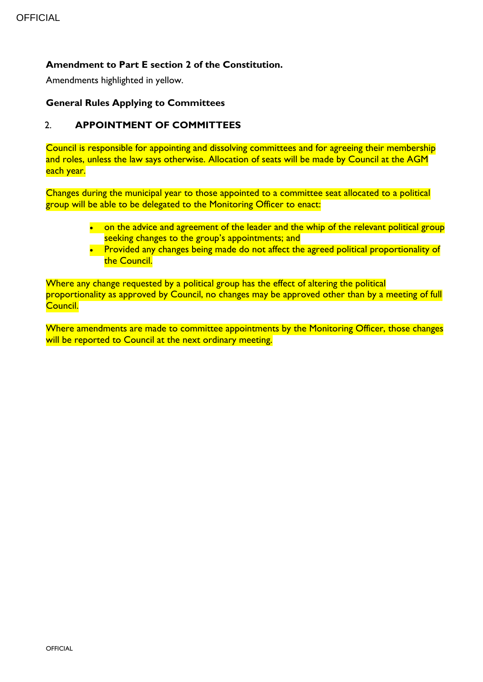### **Amendment to Part E section 2 of the Constitution.**

Amendments highlighted in yellow.

#### **General Rules Applying to Committees**

#### 2. **APPOINTMENT OF COMMITTEES**

Council is responsible for appointing and dissolving committees and for agreeing their membership and roles, unless the law says otherwise. Allocation of seats will be made by Council at the AGM each year.

Changes during the municipal year to those appointed to a committee seat allocated to a political group will be able to be delegated to the Monitoring Officer to enact:

- on the advice and agreement of the leader and the whip of the relevant political group seeking changes to the group's appointments; and
- Provided any changes being made do not affect the agreed political proportionality of the Council.

Where any change requested by a political group has the effect of altering the political proportionality as approved by Council, no changes may be approved other than by a meeting of full Council.

Where amendments are made to committee appointments by the Monitoring Officer, those changes will be reported to Council at the next ordinary meeting.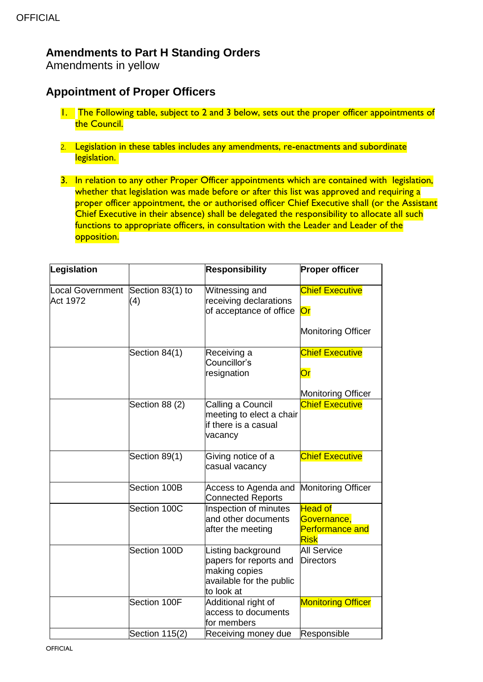# **Amendments to Part H Standing Orders**

Amendments in yellow

# **Appointment of Proper Officers**

- 1. The Following table, subject to 2 and 3 below, sets out the proper officer appointments of the Council.
- 2. Legislation in these tables includes any amendments, re-enactments and subordinate legislation.
- 3. In relation to any other Proper Officer appointments which are contained with legislation, whether that legislation was made before or after this list was approved and requiring a proper officer appointment, the or authorised officer Chief Executive shall (or the Assistant Chief Executive in their absence) shall be delegated the responsibility to allocate all such functions to appropriate officers, in consultation with the Leader and Leader of the opposition.

| Legislation                         |                         | <b>Responsibility</b>                                                                                   | <b>Proper officer</b>                                                         |
|-------------------------------------|-------------------------|---------------------------------------------------------------------------------------------------------|-------------------------------------------------------------------------------|
| <b>Local Government</b><br>Act 1972 | Section 83(1) to<br>(4) | Witnessing and<br>receiving declarations<br>of acceptance of office                                     | <b>Chief Executive</b><br>$\overline{\text{Or}}$<br><b>Monitoring Officer</b> |
|                                     | Section 84(1)           | Receiving a<br>Councillor's<br>resignation                                                              | <b>Chief Executive</b><br>$\overline{\text{Or}}$<br><b>Monitoring Officer</b> |
|                                     | Section 88 (2)          | Calling a Council<br>meeting to elect a chair<br>if there is a casual<br>vacancy                        | <b>Chief Executive</b>                                                        |
|                                     | Section 89(1)           | Giving notice of a<br>casual vacancy                                                                    | <b>Chief Executive</b>                                                        |
|                                     | Section 100B            | Access to Agenda and<br><b>Connected Reports</b>                                                        | <b>Monitoring Officer</b>                                                     |
|                                     | Section 100C            | Inspection of minutes<br>and other documents<br>after the meeting                                       | <b>Head of</b><br>Governance,<br><b>Performance and</b><br><b>Risk</b>        |
|                                     | Section 100D            | Listing background<br>papers for reports and<br>making copies<br>available for the public<br>to look at | <b>All Service</b><br><b>Directors</b>                                        |
|                                     | Section 100F            | Additional right of<br>access to documents<br>for members                                               | <b>Monitoring Officer</b>                                                     |
|                                     | Section 115(2)          | Receiving money due                                                                                     | Responsible                                                                   |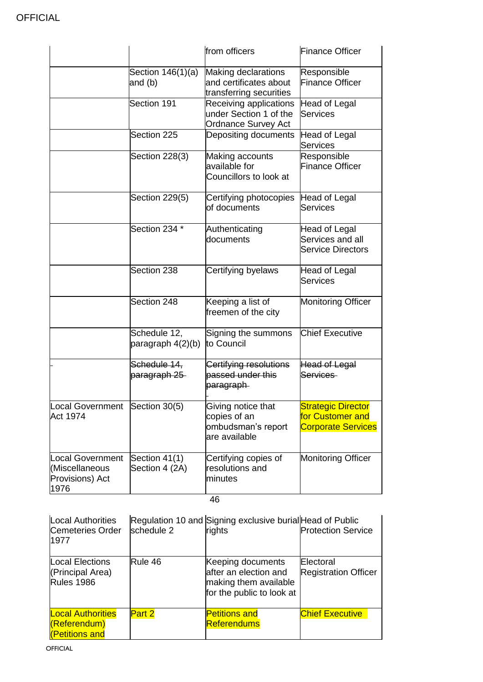|                                                               |                                   | from officers                                                                  | <b>Finance Officer</b>                                                     |
|---------------------------------------------------------------|-----------------------------------|--------------------------------------------------------------------------------|----------------------------------------------------------------------------|
|                                                               | Section 146(1)(a)<br>and (b)      | Making declarations<br>and certificates about<br>transferring securities       | Responsible<br><b>Finance Officer</b>                                      |
|                                                               | Section 191                       | Receiving applications<br>under Section 1 of the<br><b>Ordnance Survey Act</b> | Head of Legal<br>Services                                                  |
|                                                               | Section 225                       | Depositing documents                                                           | Head of Legal<br>Services                                                  |
|                                                               | Section 228(3)                    | Making accounts<br>available for<br>Councillors to look at                     | Responsible<br><b>Finance Officer</b>                                      |
|                                                               | Section 229(5)                    | Certifying photocopies<br>of documents                                         | Head of Legal<br><b>Services</b>                                           |
|                                                               | Section 234 *                     | Authenticating<br>documents                                                    | Head of Legal<br>Services and all<br><b>Service Directors</b>              |
|                                                               | Section 238                       | Certifying byelaws                                                             | Head of Legal<br><b>Services</b>                                           |
|                                                               | Section 248                       | Keeping a list of<br>freemen of the city                                       | <b>Monitoring Officer</b>                                                  |
|                                                               | Schedule 12,<br>paragraph 4(2)(b) | Signing the summons<br>to Council                                              | <b>Chief Executive</b>                                                     |
|                                                               | Schedule 14,<br>paragraph 25      | Certifying resolutions<br>passed under this<br>paragraph                       | Head of Legal<br>Services                                                  |
| Local Government Section 30(5)<br>Act 1974                    |                                   | Giving notice that<br>copies of an<br>ombudsman's report<br>are available      | <b>Strategic Director</b><br>for Customer and<br><b>Corporate Services</b> |
| Local Government<br>(Miscellaneous<br>Provisions) Act<br>1976 | Section 41(1)<br>Section 4 (2A)   | Certifying copies of<br>resolutions and<br>minutes                             | Monitoring Officer                                                         |

46

| <b>Local Authorities</b><br>Cemeteries Order<br>1977             | schedule 2 | Regulation 10 and Signing exclusive burial Head of Public<br>rights                              | <b>Protection Service</b>                       |
|------------------------------------------------------------------|------------|--------------------------------------------------------------------------------------------------|-------------------------------------------------|
| <b>Local Elections</b><br>(Principal Area)<br><b>Rules 1986</b>  | Rule 46    | Keeping documents<br>after an election and<br>making them available<br>for the public to look at | <b>Electoral</b><br><b>Registration Officer</b> |
| <b>Local Authorities</b><br>(Referendum)<br><b>Petitions and</b> | Part 2     | <b>Petitions and</b><br><b>Referendums</b>                                                       | <b>Chief Executive</b>                          |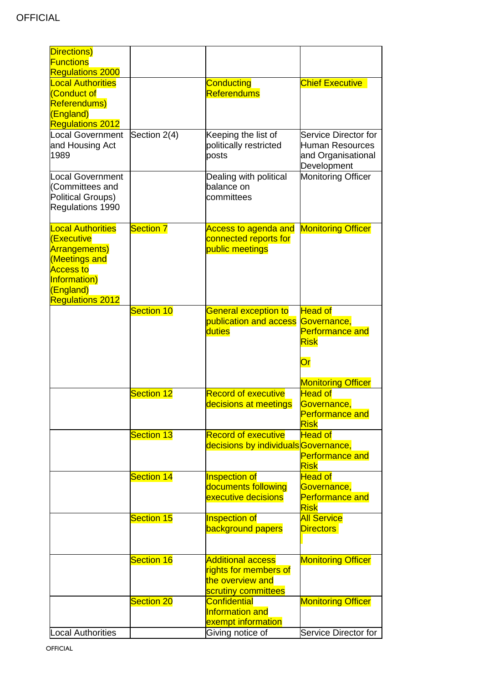| Directions)                                 |                   |                                            |                                                             |
|---------------------------------------------|-------------------|--------------------------------------------|-------------------------------------------------------------|
| <b>Functions</b><br><b>Regulations 2000</b> |                   |                                            |                                                             |
| <b>Local Authorities</b>                    |                   | <b>Conducting</b>                          | <b>Chief Executive</b>                                      |
| <b>Conduct of</b>                           |                   | <b>Referendums</b>                         |                                                             |
| Referendums)                                |                   |                                            |                                                             |
| (England)                                   |                   |                                            |                                                             |
| <b>Regulations 2012</b>                     |                   |                                            |                                                             |
| <b>Local Government</b>                     | Section 2(4)      | Keeping the list of                        | Service Director for                                        |
| and Housing Act<br>1989                     |                   | politically restricted<br>posts            | <b>Human Resources</b><br>and Organisational<br>Development |
| <b>Local Government</b>                     |                   | Dealing with political                     | Monitoring Officer                                          |
| (Committees and                             |                   | balance on                                 |                                                             |
| <b>Political Groups)</b>                    |                   | committees                                 |                                                             |
| Regulations 1990                            |                   |                                            |                                                             |
| <b>Local Authorities</b>                    | <b>Section 7</b>  | <b>Access to agenda and</b>                | <b>Monitoring Officer</b>                                   |
| <b>(Executive</b>                           |                   | connected reports for                      |                                                             |
| <b>Arrangements)</b>                        |                   | public meetings                            |                                                             |
| (Meetings and                               |                   |                                            |                                                             |
| <b>Access to</b>                            |                   |                                            |                                                             |
| Information)<br>(England)                   |                   |                                            |                                                             |
| <b>Regulations 2012</b>                     |                   |                                            |                                                             |
|                                             | <b>Section 10</b> | <b>General exception to</b>                | <b>Head of</b>                                              |
|                                             |                   | publication and access                     | Governance,                                                 |
|                                             |                   | duties                                     | <b>Performance and</b>                                      |
|                                             |                   |                                            | <b>Risk</b>                                                 |
|                                             |                   |                                            | $\overline{\text{Or}}$                                      |
|                                             |                   |                                            |                                                             |
|                                             | <b>Section 12</b> | <b>Record of executive</b>                 | <b>Monitoring Officer</b><br><b>Head of</b>                 |
|                                             |                   | decisions at meetings                      | Governance.                                                 |
|                                             |                   |                                            | <b>Performance and</b>                                      |
|                                             |                   |                                            | <b>Risk</b>                                                 |
|                                             | <b>Section 13</b> | <b>Record of executive</b>                 | <b>Head of</b>                                              |
|                                             |                   | decisions by individuals Governance,       |                                                             |
|                                             |                   |                                            | <b>Performance and</b>                                      |
|                                             |                   |                                            | <b>Risk</b>                                                 |
|                                             | <b>Section 14</b> | Inspection of                              | <b>Head of</b>                                              |
|                                             |                   | documents following<br>executive decisions | Governance,<br><b>Performance and</b>                       |
|                                             |                   |                                            | <b>Risk</b>                                                 |
|                                             | <b>Section 15</b> | Inspection of                              | <b>All Service</b>                                          |
|                                             |                   | <b>background papers</b>                   | <b>Directors</b>                                            |
|                                             |                   |                                            |                                                             |
|                                             | <b>Section 16</b> | <b>Additional access</b>                   | <b>Monitoring Officer</b>                                   |
|                                             |                   | rights for members of                      |                                                             |
|                                             |                   | the overview and                           |                                                             |
|                                             |                   | scrutiny committees                        |                                                             |
|                                             | <b>Section 20</b> | <b>Confidential</b>                        | <b>Monitoring Officer</b>                                   |
|                                             |                   | Information and                            |                                                             |
| <b>Local Authorities</b>                    |                   | exempt information                         | Service Director for                                        |
|                                             |                   | Giving notice of                           |                                                             |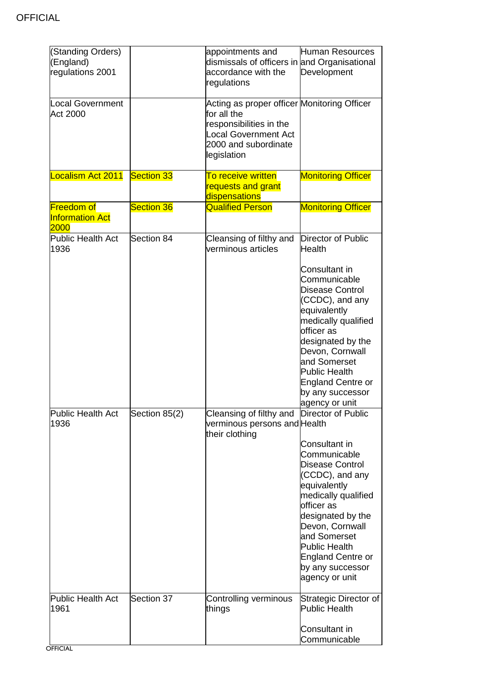| (Standing Orders)<br>(England)<br>regulations 2001  |                   | appointments and<br>dismissals of officers in and Organisational<br>accordance with the<br>regulations                                                      | Human Resources<br>Development                                                                                                                                                                                                                                             |
|-----------------------------------------------------|-------------------|-------------------------------------------------------------------------------------------------------------------------------------------------------------|----------------------------------------------------------------------------------------------------------------------------------------------------------------------------------------------------------------------------------------------------------------------------|
| <b>Local Government</b><br>Act 2000                 |                   | Acting as proper officer Monitoring Officer<br>for all the<br>responsibilities in the<br><b>Local Government Act</b><br>2000 and subordinate<br>legislation |                                                                                                                                                                                                                                                                            |
| Localism Act 2011                                   | <b>Section 33</b> | To receive written<br>requests and grant<br>dispensations                                                                                                   | <b>Monitoring Officer</b>                                                                                                                                                                                                                                                  |
| <b>Freedom of</b><br><b>Information Act</b><br>2000 | <b>Section 36</b> | <b>Qualified Person</b>                                                                                                                                     | <b>Monitoring Officer</b>                                                                                                                                                                                                                                                  |
| <b>Public Health Act</b><br>1936                    | Section 84        | Cleansing of filthy and<br>verminous articles                                                                                                               | Director of Public<br>Health                                                                                                                                                                                                                                               |
|                                                     |                   |                                                                                                                                                             | Consultant in<br>Communicable<br>Disease Control<br>(CCDC), and any<br>equivalently<br>medically qualified<br>officer as<br>designated by the<br>Devon, Cornwall<br>and Somerset<br><b>Public Health</b><br><b>England Centre or</b><br>by any successor<br>agency or unit |
| Public Health Act<br>1936                           | Section 85(2)     | Cleansing of filthy and Director of Public<br>verminous persons and Health<br>their clothing                                                                |                                                                                                                                                                                                                                                                            |
|                                                     |                   |                                                                                                                                                             | Consultant in<br>Communicable<br>Disease Control<br>(CCDC), and any<br>equivalently<br>medically qualified<br>officer as<br>designated by the<br>Devon, Cornwall<br>and Somerset<br><b>Public Health</b><br><b>England Centre or</b><br>by any successor<br>agency or unit |
| Public Health Act<br>1961                           | Section 37        | Controlling verminous<br>things                                                                                                                             | Strategic Director of<br><b>Public Health</b>                                                                                                                                                                                                                              |
|                                                     |                   |                                                                                                                                                             | Consultant in<br>Communicable                                                                                                                                                                                                                                              |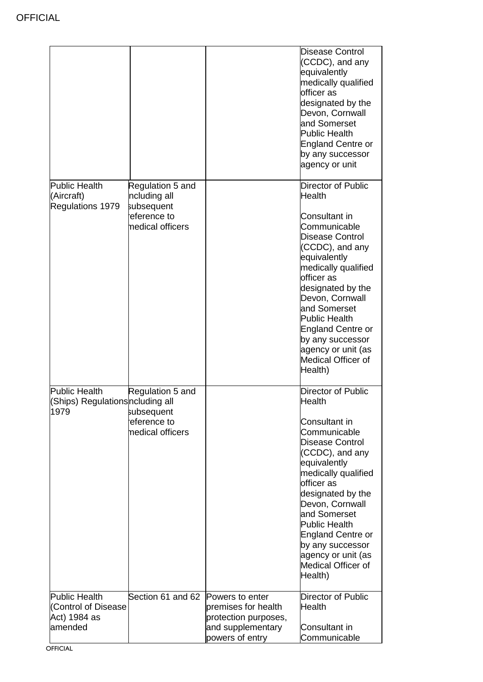|                                                                                |                                                                                                       |                                                                                                        | Disease Control<br>(CCDC), and any<br>equivalently<br>medically qualified<br>officer as<br>designated by the<br>Devon, Cornwall<br>and Somerset<br>Public Health<br>England Centre or<br>by any successor<br>agency or unit                                                                                                                                                         |
|--------------------------------------------------------------------------------|-------------------------------------------------------------------------------------------------------|--------------------------------------------------------------------------------------------------------|-------------------------------------------------------------------------------------------------------------------------------------------------------------------------------------------------------------------------------------------------------------------------------------------------------------------------------------------------------------------------------------|
| <b>Public Health</b><br>(Aircraft)<br>Regulations 1979<br><b>Public Health</b> | Regulation 5 and<br>ncluding all<br>subsequent<br>eference to<br>nedical officers<br>Regulation 5 and |                                                                                                        | <b>Director of Public</b><br><b>Health</b><br>Consultant in<br>Communicable<br>Disease Control<br>(CCDC), and any<br>equivalently<br>medically qualified<br>officer as<br>designated by the<br>Devon, Cornwall<br>and Somerset<br><b>Public Health</b><br><b>England Centre or</b><br>by any successor<br>agency or unit (as<br>Medical Officer of<br>Health)<br>Director of Public |
| (Ships) Regulationsncluding all<br>1979                                        | subsequent<br>eference to<br>medical officers                                                         |                                                                                                        | Health<br>Consultant in<br>Communicable<br>Disease Control<br>(CCDC), and any<br>equivalently<br>medically qualified<br>officer as<br>designated by the<br>Devon, Cornwall<br>and Somerset<br><b>Public Health</b><br>England Centre or<br>by any successor<br>agency or unit (as<br>Medical Officer of<br>Health)                                                                  |
| <b>Public Health</b><br>(Control of Disease<br>Act) 1984 as<br>amended         | Section 61 and 62                                                                                     | Powers to enter<br>premises for health<br>protection purposes,<br>and supplementary<br>powers of entry | Director of Public<br>Health<br>Consultant in<br>Communicable                                                                                                                                                                                                                                                                                                                       |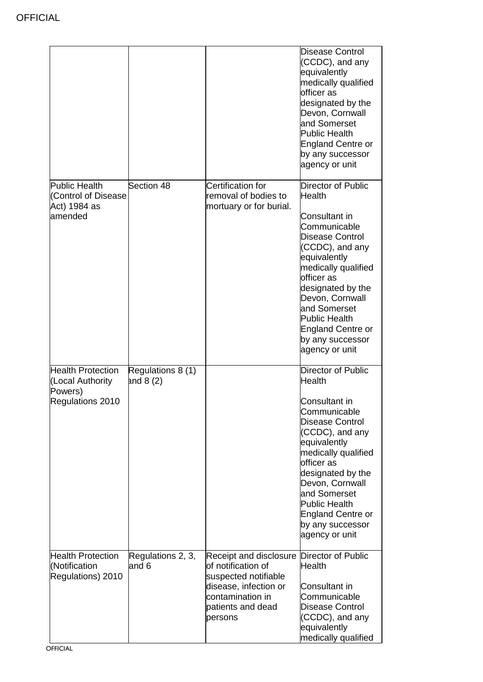|                                                                             |                                 |                                                                                                                                                                      | <b>Disease Control</b><br>(CCDC), and any<br>equivalently<br>medically qualified<br>officer as<br>designated by the<br>Devon, Cornwall<br>and Somerset<br><b>Public Health</b><br><b>England Centre or</b><br>by any successor<br>agency or unit                                                                  |
|-----------------------------------------------------------------------------|---------------------------------|----------------------------------------------------------------------------------------------------------------------------------------------------------------------|-------------------------------------------------------------------------------------------------------------------------------------------------------------------------------------------------------------------------------------------------------------------------------------------------------------------|
| <b>Public Health</b><br>(Control of Disease<br>Act) 1984 as<br>amended      | Section 48                      | <b>Certification for</b><br>removal of bodies to<br>mortuary or for burial.                                                                                          | Director of Public<br>Health<br>Consultant in<br>Communicable<br>Disease Control<br>(CCDC), and any<br>equivalently<br>medically qualified<br>officer as<br>designated by the<br>Devon, Cornwall<br>and Somerset<br><b>Public Health</b><br><b>England Centre or</b><br>by any successor<br>agency or unit        |
| <b>Health Protection</b><br>(Local Authority<br>Powers)<br>Regulations 2010 | Regulations 8 (1)<br>and $8(2)$ |                                                                                                                                                                      | Director of Public<br><b>Health</b><br>Consultant in<br>Communicable<br>Disease Control<br>(CCDC), and any<br>equivalently<br>medically qualified<br>officer as<br>designated by the<br>Devon, Cornwall<br>and Somerset<br><b>Public Health</b><br><b>England Centre or</b><br>by any successor<br>agency or unit |
| <b>Health Protection</b><br>(Notification<br>Regulations) 2010              | Regulations 2, 3,<br>and 6      | Receipt and disclosure Director of Public<br>of notification of<br>suspected notifiable<br>disease, infection or<br>contamination in<br>patients and dead<br>persons | <b>Health</b><br>Consultant in<br>Communicable<br>Disease Control<br>(CCDC), and any<br>equivalently<br>medically qualified                                                                                                                                                                                       |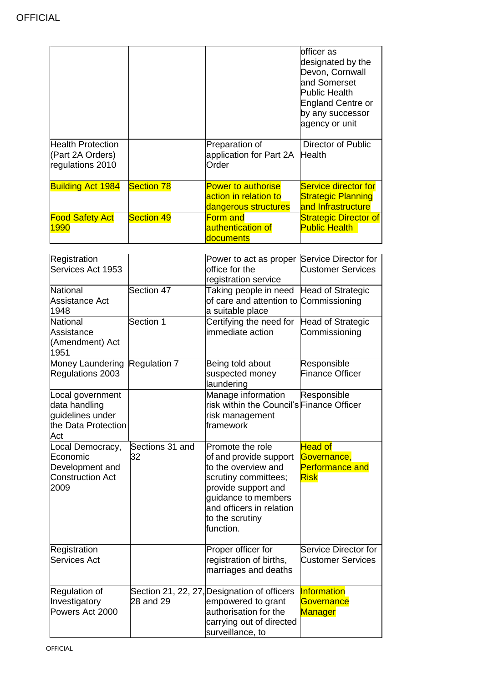|                                                                  |                   |                                                                            | officer as<br>designated by the<br>Devon, Cornwall<br>and Somerset<br>Public Health<br>England Centre or<br>by any successor<br>agency or unit |
|------------------------------------------------------------------|-------------------|----------------------------------------------------------------------------|------------------------------------------------------------------------------------------------------------------------------------------------|
| <b>Health Protection</b><br>(Part 2A Orders)<br>regulations 2010 |                   | Preparation of<br>application for Part 2A Health<br>Order                  | Director of Public                                                                                                                             |
| <b>Building Act 1984</b>                                         | <b>Section 78</b> | <b>Power to authorise</b><br>action in relation to<br>dangerous structures | Service director for<br><b>Strategic Planning</b><br>and Infrastructure                                                                        |
| <b>Food Safety Act</b><br>1990                                   | <b>Section 49</b> | <b>Form and</b><br>authentication of<br>ldocuments                         | <b>Strategic Director of</b><br><b>Public Health</b>                                                                                           |

| Registration<br>Services Act 1953                                                   |                       | Power to act as proper Service Director for<br>office for the<br>registration service                                                                                                               | <b>Customer Services</b>                                        |
|-------------------------------------------------------------------------------------|-----------------------|-----------------------------------------------------------------------------------------------------------------------------------------------------------------------------------------------------|-----------------------------------------------------------------|
| <b>National</b><br>Assistance Act<br>1948                                           | Section 47            | Taking people in need<br>of care and attention to Commissioning<br>a suitable place                                                                                                                 | Head of Strategic                                               |
| <b>National</b><br>Assistance<br>(Amendment) Act<br>1951                            | Section 1             | Certifying the need for<br>immediate action                                                                                                                                                         | Head of Strategic<br>Commissioning                              |
| Money Laundering<br>Regulations 2003                                                | Regulation 7          | Being told about<br>suspected money<br>laundering                                                                                                                                                   | Responsible<br><b>Finance Officer</b>                           |
| Local government<br>data handling<br>guidelines under<br>the Data Protection<br>Act |                       | Manage information<br>risk within the Council's Finance Officer<br>risk management<br>framework                                                                                                     | Responsible                                                     |
| Local Democracy,<br>Economic<br>Development and<br><b>Construction Act</b><br>2009  | Sections 31 and<br>32 | Promote the role<br>of and provide support<br>to the overview and<br>scrutiny committees;<br>provide support and<br>guidance to members<br>and officers in relation<br>to the scrutiny<br>function. | <b>Head of</b><br>Governance,<br>Performance and<br><b>Risk</b> |
| Registration<br><b>Services Act</b>                                                 |                       | Proper officer for<br>registration of births,<br>marriages and deaths                                                                                                                               | Service Director for<br><b>Customer Services</b>                |
| Regulation of<br>Investigatory<br>Powers Act 2000                                   | 28 and 29             | Section 21, 22, 27, Designation of officers<br>empowered to grant<br>authorisation for the<br>carrying out of directed<br>surveillance, to                                                          | Information<br>Governance<br>Manager                            |